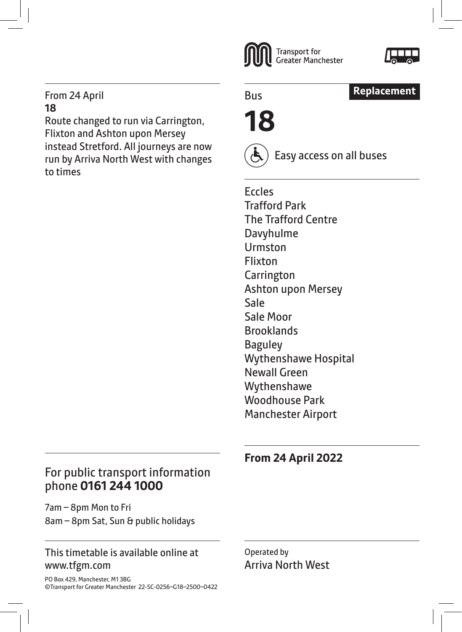#### From 24 April **18**

Route changed to run via Carrington, Flixton and Ashton upon Mersey instead Stretford. All journeys are now run by Arriva North West with changes to times





Bus



**18**



Easy access on all buses

Eccles Trafford Park The Trafford Centre Davyhulme Urmston Flixton **Carrington** Ashton upon Mersey Sale Sale Moor **Brooklands** Baguley Wythenshawe Hospital Newall Green Wythenshawe Woodhouse Park Manchester Airport

# **From 24 April 2022**

### For public transport information phone **0161 244 1000**

7am – 8pm Mon to Fri 8am – 8pm Sat, Sun & public holidays

### This timetable is available online at www.tfgm.com

PO Box 429, Manchester, M1 3BG ©Transport for Greater Manchester 22-SC-0256–G18–2500–0422 Operated by Arriva North West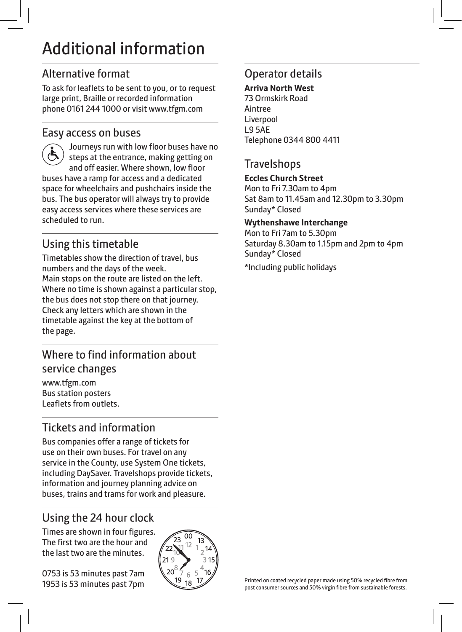# Additional information

### Alternative format

To ask for leaflets to be sent to you, or to request large print, Braille or recorded information phone 0161 244 1000 or visit www.tfgm.com

### Easy access on buses

 Journeys run with low floor buses have no steps at the entrance, making getting on and off easier. Where shown, low floor buses have a ramp for access and a dedicated space for wheelchairs and pushchairs inside the bus. The bus operator will always try to provide easy access services where these services are scheduled to run.

# Using this timetable

Timetables show the direction of travel, bus numbers and the days of the week. Main stops on the route are listed on the left. Where no time is shown against a particular stop, the bus does not stop there on that journey. Check any letters which are shown in the timetable against the key at the bottom of the page.

# Where to find information about service changes

www.tfgm.com Bus station posters Leaflets from outlets.

# Tickets and information

Bus companies offer a range of tickets for use on their own buses. For travel on any service in the County, use System One tickets, including DaySaver. Travelshops provide tickets, information and journey planning advice on buses, trains and trams for work and pleasure.

# Using the 24 hour clock

Times are shown in four figures. The first two are the hour and the last two are the minutes.

0753 is 53 minutes past 7am 1953 is 53 minutes past 7pm



### Operator details

**Arriva North West** 73 Ormskirk Road Aintree Liverpool L9 5AE Telephone 0344 800 4411

### **Travelshops**

#### **Eccles Church Street**

Mon to Fri 7.30am to 4pm Sat 8am to 11.45am and 12.30pm to 3.30pm Sunday\* Closed

#### **Wythenshawe Interchange**

Mon to Fri 7am to 5.30pm Saturday 8.30am to 1.15pm and 2pm to 4pm Sunday\* Closed

\*Including public holidays

Printed on coated recycled paper made using 50% recycled fibre from post consumer sources and 50% virgin fibre from sustainable forests.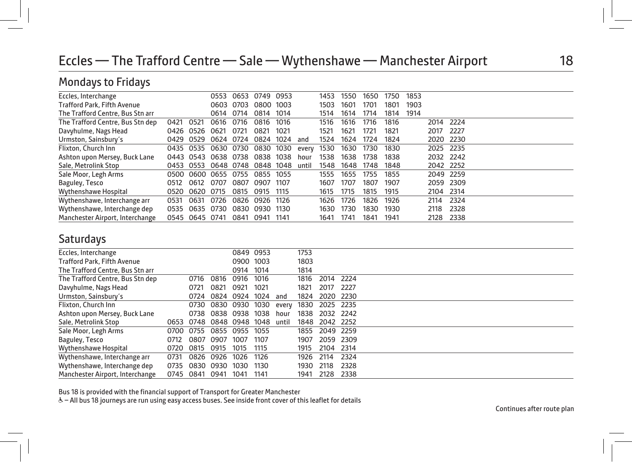# Eccles — The Trafford Centre — Sale — Wythenshawe — Manchester Airport 18

# Mondays to Fridays

| Eccles, Interchange              |      |                | 0553                | 0653      | 0749                          | 0953 |       | 1453 | 1550 | 1650 | 1750 | 1853 |           |      |  |  |
|----------------------------------|------|----------------|---------------------|-----------|-------------------------------|------|-------|------|------|------|------|------|-----------|------|--|--|
| Trafford Park, Fifth Avenue      |      |                |                     | 0603 0703 | 0800 1003                     |      |       | 1503 | 1601 | 1701 | 1801 | 1903 |           |      |  |  |
| The Trafford Centre, Bus Stn arr |      |                | 0614                | 0714      | 0814                          | 1014 |       | 1514 | 1614 | 1714 | 1814 | 1914 |           |      |  |  |
| The Trafford Centre, Bus Stn dep | 0421 | 0521           | 0616                | 0716      | 0816                          | 1016 |       | 1516 | 1616 | 1716 | 1816 |      | 2014      | 2224 |  |  |
| Davyhulme, Nags Head             | 0426 | 0526           | 0621                | 0721      | 0821                          | 1021 |       | 1521 | 1621 | 1721 | 1821 |      | 2017      | 2227 |  |  |
| Urmston, Sainsbury's             |      | 0429 0529      | 0624                | 0724      | 0824                          | 1024 | and   | 1524 | 1624 | 1724 | 1824 |      | 2020      | 2230 |  |  |
| Flixton, Church Inn              |      | 0435 0535      | 0630                | 0730      | 0830                          | 1030 | every | 1530 | 1630 | 1730 | 1830 |      | 2025      | 2235 |  |  |
| Ashton upon Mersey, Buck Lane    |      | 0443 0543      | 0638 0738           |           | 0838                          | 1038 | hour  | 1538 | 1638 | 1738 | 1838 |      | 2032 2242 |      |  |  |
| Sale, Metrolink Stop             |      |                |                     |           | 0453 0553 0648 0748 0848 1048 |      | until | 1548 | 1648 | 1748 | 1848 |      | 2042 2252 |      |  |  |
| Sale Moor, Legh Arms             |      |                | 0500 0600 0655 0755 |           | 0855 1055                     |      |       | 1555 | 1655 | 1755 | 1855 |      | 2049 2259 |      |  |  |
| Baguley, Tesco                   | 0512 | 0612           | 0707                | 0807      | 0907                          | 1107 |       | 1607 | 1707 | 1807 | 1907 |      | 2059      | 2309 |  |  |
| Wythenshawe Hospital             |      | 0520 0620 0715 |                     | 0815      | 0915                          | 1115 |       | 1615 | 1715 | 1815 | 1915 |      | 2104      | 2314 |  |  |
| Wythenshawe, Interchange arr     | 0531 | 0631           | 0726                | 0826      | 0926                          | 1126 |       | 1626 | 1726 | 1826 | 1926 |      | 2114      | 2324 |  |  |
| Wythenshawe, Interchange dep     | 0535 | 0635           | 0730                | 0830      | 0930                          | 1130 |       | 1630 | 1730 | 1830 | 1930 |      | 2118      | 2328 |  |  |
| Manchester Airport, Interchange  |      | 0545 0645 0741 |                     | 0841      | 0941                          | 1141 |       | 1641 | 1741 | 1841 | 1941 |      | 2128      | 2338 |  |  |

### Saturdays

| Eccles, Interchange                |      |           |                |                | 0849 0953 |       | 1753 |                |       |  |
|------------------------------------|------|-----------|----------------|----------------|-----------|-------|------|----------------|-------|--|
| <b>Trafford Park, Fifth Avenue</b> |      |           |                | 0900 1003      |           |       | 1803 |                |       |  |
| The Trafford Centre, Bus Stn arr   |      |           |                | 0914           | 1014      |       | 1814 |                |       |  |
| The Trafford Centre, Bus Stn dep   |      | 0716      | 0816           | 0916           | 1016      |       | 1816 | 2014           | 2224  |  |
| Davyhulme, Nags Head               |      | 0721      | 0821           | 0921           | 1021      |       | 1821 | 2017           | -2227 |  |
| Urmston, Sainsbury's               |      |           | 0724 0824 0924 |                | 1024      | and   | 1824 | 2020 2230      |       |  |
| Flixton, Church Inn                |      |           | 0730 0830 0930 |                | 1030      | every | 1830 | 2025 2235      |       |  |
| Ashton upon Mersey, Buck Lane      |      |           | 0738 0838 0938 |                | 1038      | hour  | 1838 | 2032 2242      |       |  |
| Sale, Metrolink Stop               | 0653 | 0748      | 0848           | 0948           | 1048      | until | 1848 | 2042 2252      |       |  |
| Sale Moor, Legh Arms               | 0700 | 0755      |                | 0855 0955 1055 |           |       |      | 1855 2049 2259 |       |  |
| Baguley, Tesco                     | 0712 | 0807      | 0907           | 1007           | 1107      |       | 1907 | 2059 2309      |       |  |
| Wythenshawe Hospital               | 0720 | 0815      | 0915           | 1015           | 1115      |       | 1915 | 2104 2314      |       |  |
| Wythenshawe, Interchange arr       | 0731 | 0826      | 0926           | 1026           | 1126      |       | 1926 | 2114           | 2324  |  |
| Wythenshawe, Interchange dep       | 0735 |           | 0830 0930      | 1030           | 1130      |       | 1930 | 2118           | 2328  |  |
| Manchester Airport, Interchange    |      | 0745 0841 | 0941           | 1041           | 1141      |       | 1941 | 2128           | 2338  |  |

Bus 18 is provided with the financial support of Transport for Greater Manchester

& - All bus 18 journeys are run using easy access buses. See inside front cover of this leaflet for details

Continues after route plan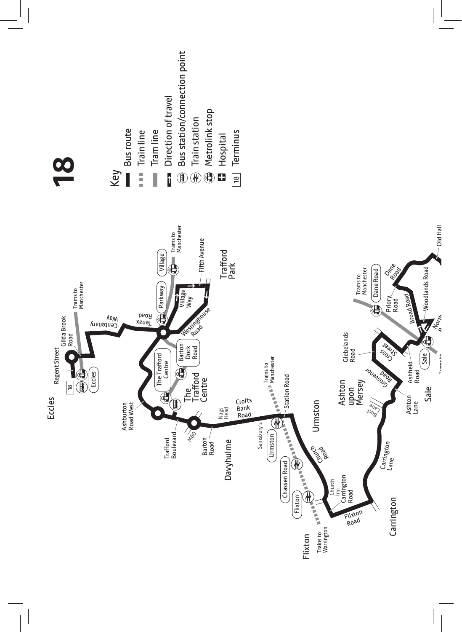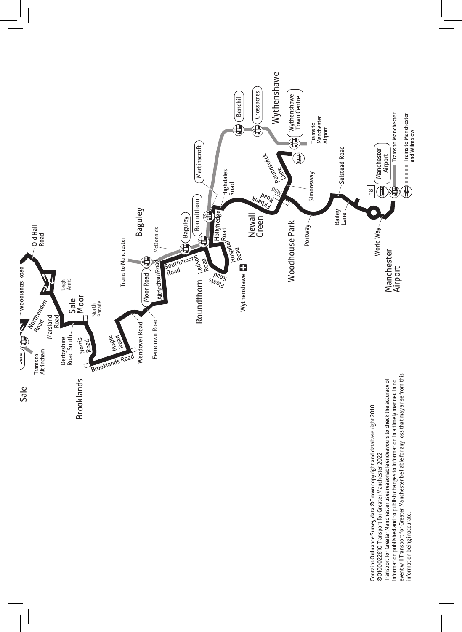

event will Transport for Greater Manchester be liable for any loss that may arise from this event will Transport for Greater Manchester be liable for any loss that may arise from this Transport for Greater Manchester uses reasonable endeavours to check the accuracy of Transport for Greater Manchester uses reasonable endeavours to check the accuracy of information published and to publish changes to information in a timely manner. In no information published and to publish changes to information in a timely manner. In no Contains Ordnance Survey data ©Crown copyright and database right 2010 Contains Ordnance Survey data ©Crown copyright and database right 2010 ©0100022610 Transport for Greater Manchester 2022 ©0100022610 Transport for Greater Manchester 2022 information being inaccurate. information being inaccurate.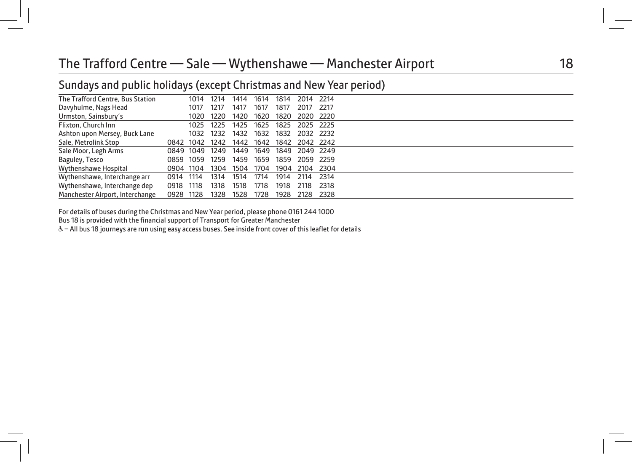# The Trafford Centre — Sale — Wythenshawe — Manchester Airport 18

### Sundays and public holidays (except Christmas and New Year period)

|      | 1014 | 1214                                                                  | 1414      | 1614 | 1814 |      |      |                                                                                                                |
|------|------|-----------------------------------------------------------------------|-----------|------|------|------|------|----------------------------------------------------------------------------------------------------------------|
|      | 1017 | 1217                                                                  | 1417      | 1617 | 1817 | 2017 |      |                                                                                                                |
|      | 1020 | 1220                                                                  | 1420      | 1620 | 1820 |      |      |                                                                                                                |
|      | 1025 | 1225                                                                  | 1425      | 1625 | 1825 |      |      |                                                                                                                |
|      | 1032 | 1232                                                                  | 1432      | 1632 | 1832 |      |      |                                                                                                                |
|      |      | 1242                                                                  | 1442      | 1642 | 1842 |      |      |                                                                                                                |
|      |      | 1249                                                                  | 1449      |      | 1849 |      |      |                                                                                                                |
|      |      | 1259                                                                  | 1459      | 1659 | 1859 |      |      |                                                                                                                |
|      |      | 1304                                                                  | 1504      | 1704 | 1904 |      |      |                                                                                                                |
|      |      | 1314                                                                  | 1514      | 1714 | 1914 | 2114 | 2314 |                                                                                                                |
| 0918 |      | 1318                                                                  | 1518      | 1718 | 1918 | 2118 | 2318 |                                                                                                                |
|      |      | 1328                                                                  | 1528      | 1728 | 1928 | 2128 | 2328 |                                                                                                                |
|      |      | 0849 1049<br>0859 1059<br>0904 1104<br>0914 1114<br>1118<br>0928 1128 | 0842 1042 |      | 1649 |      |      | 2014 2214<br>- 2217<br>2020 2220<br>2025 2225<br>2032 2232<br>2042 2242<br>2049 2249<br>2059 2259<br>2104 2304 |

For details of buses during the Christmas and New Year period, please phone 0161 244 1000

Bus 18 is provided with the financial support of Transport for Greater Manchester

& - All bus 18 journeys are run using easy access buses. See inside front cover of this leaflet for details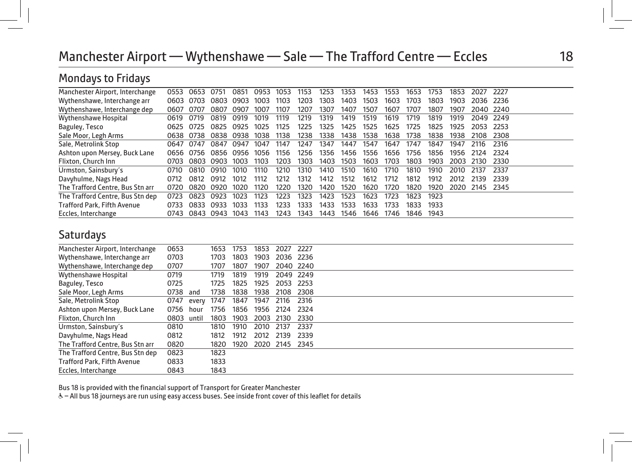# Manchester Airport — Wythenshawe — Sale — The Trafford Centre — Eccles 18

## Mondays to Fridays

| Manchester Airport, Interchange    | 0553 | 0653           | 0751                | 0851 | 0953 | 1053 | 1153 | 1253 | 1353 | 1453 | 553  | 1653 | 1753 | 1853 | 2027      | -2227 |
|------------------------------------|------|----------------|---------------------|------|------|------|------|------|------|------|------|------|------|------|-----------|-------|
| Wythenshawe, Interchange arr       | 0603 | 0703           | 0803                | 0903 | 1003 | 1103 | 1203 | 1303 | 1403 | 1503 | 1603 | 1703 | 1803 | 1903 | 2036 2236 |       |
| Wythenshawe, Interchange dep       | 0607 | 0707           | በጸበ7                | 0907 | 1007 | 1107 | 1207 | 1307 | 1407 | 1507 | 1607 | 1707 | 1807 | 1907 | 2040 2240 |       |
| Wythenshawe Hospital               | 0619 | 0719           | 0819                | 0919 | 1019 | 1119 | 1219 | 1319 | 1419 | 1519 | 1619 | 1719 | 1819 | 1919 | 2049 2249 |       |
| Baguley, Tesco                     | 0625 | 0725           | 0825                | 0925 | 1025 | 1125 | 1225 | 1325 | 1425 | 1525 | 1625 | 1725 | 1825 | 1925 | 2053      | -2253 |
| Sale Moor, Legh Arms               |      | 0638 0738      | 0838                | 0938 | 1038 | 1138 | 1238 | 1338 | 1438 | 1538 | 1638 | 1738 | 1838 | 1938 | 2108      | -2308 |
| Sale, Metrolink Stop               | 0647 | 0747           | 0847                | 0947 | 1047 | 1147 | 1247 | 1347 | 1447 | 1547 | 1647 | 1747 | 1847 | 1947 | 2116      | 2316  |
| Ashton upon Mersey, Buck Lane      |      |                | 0656 0756 0856 0956 |      | 1056 | 1156 | 1256 | 1356 | 1456 | 1556 | 1656 | 1756 | 1856 | 1956 | 2124      | 2324  |
| Flixton, Church Inn                | 0703 | 0803           | 0903                | 1003 | 1103 | 1203 | 1303 | 1403 | 1503 | 1603 | 1703 | 1803 | 1903 | 2003 | 2130      | 2330  |
| Urmston, Sainsbury's               | 0710 | 0810           | 0910                | 1010 | 1110 | 1210 | 1310 | 1410 | 1510 | 1610 | 1710 | 1810 | 1910 | 2010 | 2137      | 2337  |
| Davyhulme, Nags Head               | 0712 | 0812           | 0912                | 1012 | 1112 | 1212 | 1312 | 1412 | 1512 | 1612 | 1712 | 1812 | 1912 | 2012 | 2139      | 2339  |
| The Trafford Centre, Bus Stn arr   | 0720 | 0820           | 0920                | 1020 | 1120 | 1220 | 1320 | 1420 | 1520 | 1620 | 1720 | 1820 | 1920 | 2020 | 2145 2345 |       |
| The Trafford Centre, Bus Stn dep   | 0723 | 0823           | 0923                | 1023 | 1123 | 1223 | 1323 | 1423 | 1523 | 1623 | 1723 | 1823 | 1923 |      |           |       |
| <b>Trafford Park, Fifth Avenue</b> | 0733 | 0833           | 0933                | 1033 | 1133 | 1233 | 1333 | 1433 | 1533 | 1633 | 1733 | 1833 | 1933 |      |           |       |
| Eccles, Interchange                |      | 0743 0843 0943 |                     | 1043 | 1143 | 1243 | 1343 | 1443 | 1546 | 1646 | 1746 | 1846 | 1943 |      |           |       |

### Saturdays

| Manchester Airport, Interchange    | 0653       |       | 1653 | 1753 | 1853 | 2027           | 2227      |  |
|------------------------------------|------------|-------|------|------|------|----------------|-----------|--|
| Wythenshawe, Interchange arr       | 0703       |       | 1703 | 1803 | 1903 | 2036 2236      |           |  |
| Wythenshawe, Interchange dep       | 0707       |       | 1707 | 1807 | 1907 |                | 2040 2240 |  |
| Wythenshawe Hospital               | 0719       |       | 1719 | 1819 | 1919 | 2049 2249      |           |  |
| Baguley, Tesco                     | 0725       |       | 1725 | 1825 | 1925 | 2053           | 2253      |  |
| Sale Moor, Legh Arms               | 0738       | and   | 1738 | 1838 | 1938 | 2108           | 2308      |  |
| Sale, Metrolink Stop               | 0747       | every | 1747 | 1847 | 1947 | 2116           | 2316      |  |
| Ashton upon Mersey, Buck Lane      | 0756       | hour  | 1756 | 1856 | 1956 | 2124           | 2324      |  |
| Flixton, Church Inn                | 0803 until |       | 1803 | 1903 | 2003 | 2130           | 2330      |  |
| Urmston, Sainsbury's               | 0810       |       | 1810 | 1910 | 2010 | 2137           | 2337      |  |
| Davyhulme, Nags Head               | 0812       |       | 1812 | 1912 | 2012 | 2139           | 2339      |  |
| The Trafford Centre, Bus Stn arr   | 0820       |       | 1820 | 1920 |      | 2020 2145 2345 |           |  |
| The Trafford Centre, Bus Stn dep   | 0823       |       | 1823 |      |      |                |           |  |
| <b>Trafford Park, Fifth Avenue</b> | 0833       |       | 1833 |      |      |                |           |  |
| Eccles, Interchange                | 0843       |       | 1843 |      |      |                |           |  |

Bus 18 is provided with the financial support of Transport for Greater Manchester

& - All bus 18 journeys are run using easy access buses. See inside front cover of this leaflet for details